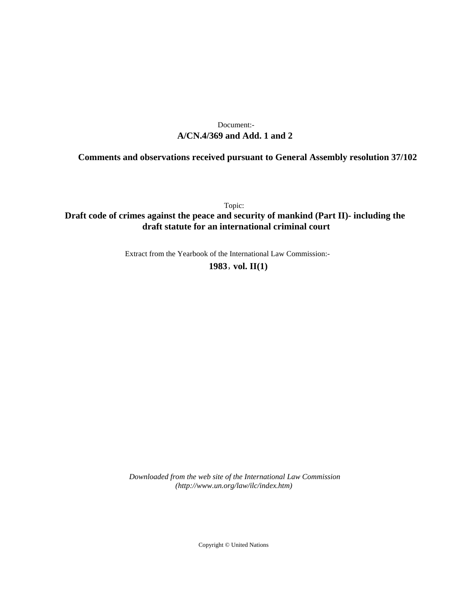# **A/CN.4/369 and Add. 1 and 2** Document:-

# **Comments and observations received pursuant to General Assembly resolution 37/102**

Topic:

**Draft code of crimes against the peace and security of mankind (Part II)- including the draft statute for an international criminal court**

Extract from the Yearbook of the International Law Commission:-

**1983** , **vol. II(1)**

*Downloaded from the web site of the International Law Commission (http://www.un.org/law/ilc/index.htm)*

Copyright © United Nations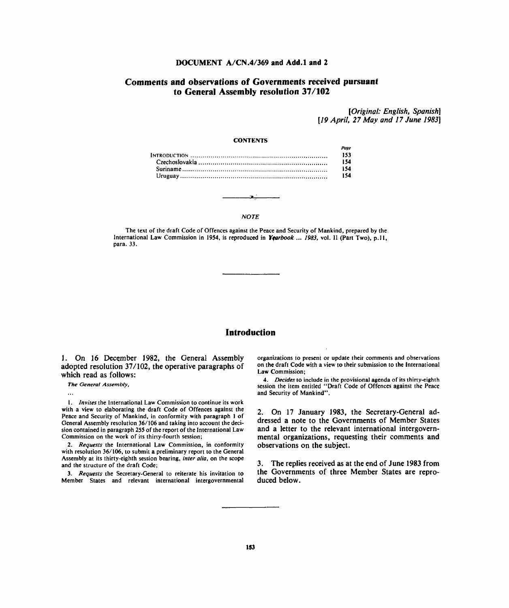### **DOCUMENT A/CN.4/369 and Add.l and 2**

## **Comments and observations of Governments received pursuant to General Assembly resolution 37/102**

*[Original: English, Spanish] [19 April, 27 May and 17 June 1983]*

#### **CONTENTS**

#### **NOTE**

The text of the draft Code of Offences against the Peace and Security of Mankind, prepared by the International Law Commission in 1954, is reproduced in *Yearbook* ... *1983,* vol. II (Part Two), p.11, para. 33.

### **Introduction**

1. On 16 December 1982, the General Assembly adopted resolution 37/102, the operative paragraphs of which read as follows:

*The General Assembly,*

 $\ddotsc$ 

1. *Invites* the International Law Commission to continue its work with a view to elaborating the draft Code of Offences against the Peace and Security of Mankind, in conformity with paragraph 1 of General Assembly resolution 36/106 and taking into account the decision contained in paragraph 255 of the report of the International Law Commission on the work of its thirty-fourth session;

2. *Requests* the International Law Commission, in conformity with resolution 36/106, to submit a preliminary report to the General Assembly at its thirty-eighth session bearing, *inter alia,* on the scope and the structure of the draft Code;

3. *Requests* the Secretary-General to reiterate his invitation to Member States and relevant international intergovernmental organizations to present or update their comments and observations on the draft Code with a view to their submission to the International Law Commission;

4. *Decides* to include in the provisional agenda of its thirty-eighth session the item entitled "Draft Code of Offences against the Peace and Security of Mankind".

2. On 17 January 1983, the Secretary-General addressed a note to the Governments of Member States and a letter to the relevant international intergovernmental organizations, requesting their comments and observations on the subject.

3. The replies received as at the end of June 1983 from the Governments of three Member States are reproduced below.